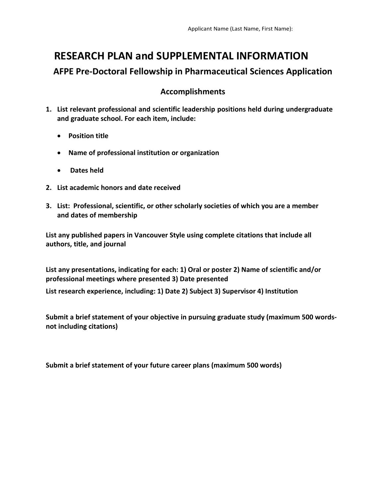## **RESEARCH PLAN and SUPPLEMENTAL INFORMATION AFPE Pre-Doctoral Fellowship in Pharmaceutical Sciences Application**

## **Accomplishments**

- **1. List relevant professional and scientific leadership positions held during undergraduate and graduate school. For each item, include:** 
	- **Position title**
	- **Name of professional institution or organization**
	- **Dates held**
- **2. List academic honors and date received**
- **3. List: Professional, scientific, or other scholarly societies of which you are a member and dates of membership**

**List any published papers in Vancouver Style using complete citations that include all authors, title, and journal**

**List any presentations, indicating for each: 1) Oral or poster 2) Name of scientific and/or professional meetings where presented 3) Date presented**

**List research experience, including: 1) Date 2) Subject 3) Supervisor 4) Institution**

**Submit a brief statement of your objective in pursuing graduate study (maximum 500 wordsnot including citations)**

**Submit a brief statement of your future career plans (maximum 500 words)**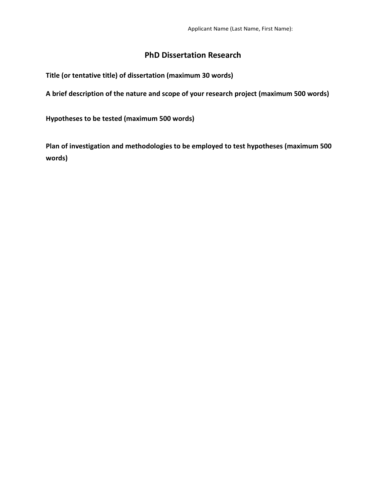## **PhD Dissertation Research**

**Title (or tentative title) of dissertation (maximum 30 words)**

**A brief description of the nature and scope of your research project (maximum 500 words)**

**Hypotheses to be tested (maximum 500 words)**

**Plan of investigation and methodologies to be employed to test hypotheses (maximum 500 words)**